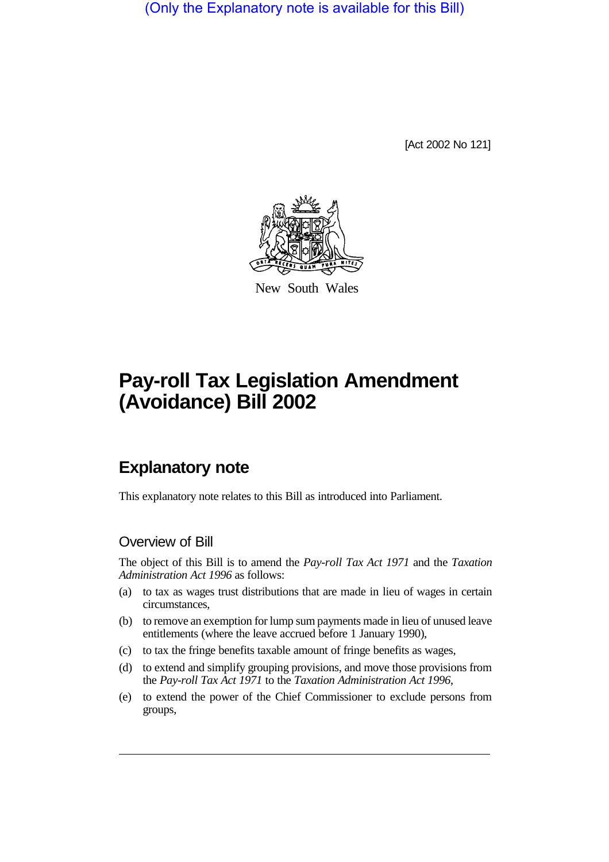(Only the Explanatory note is available for this Bill)

[Act 2002 No 121]



New South Wales

# **Pay-roll Tax Legislation Amendment (Avoidance) Bill 2002**

# **Explanatory note**

This explanatory note relates to this Bill as introduced into Parliament.

### Overview of Bill

The object of this Bill is to amend the *Pay-roll Tax Act 1971* and the *Taxation Administration Act 1996* as follows:

- (a) to tax as wages trust distributions that are made in lieu of wages in certain circumstances,
- (b) to remove an exemption for lump sum payments made in lieu of unused leave entitlements (where the leave accrued before 1 January 1990),
- (c) to tax the fringe benefits taxable amount of fringe benefits as wages,
- (d) to extend and simplify grouping provisions, and move those provisions from the *Pay-roll Tax Act 1971* to the *Taxation Administration Act 1996*,
- (e) to extend the power of the Chief Commissioner to exclude persons from groups,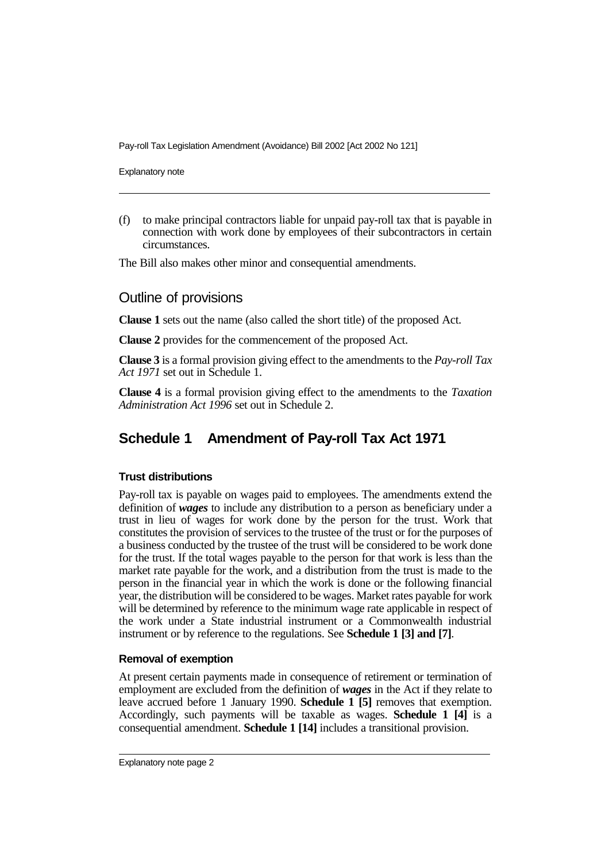Explanatory note

(f) to make principal contractors liable for unpaid pay-roll tax that is payable in connection with work done by employees of their subcontractors in certain circumstances.

The Bill also makes other minor and consequential amendments.

#### Outline of provisions

**Clause 1** sets out the name (also called the short title) of the proposed Act.

**Clause 2** provides for the commencement of the proposed Act.

**Clause 3** is a formal provision giving effect to the amendments to the *Pay-roll Tax Act 1971* set out in Schedule 1.

**Clause 4** is a formal provision giving effect to the amendments to the *Taxation Administration Act 1996* set out in Schedule 2.

# **Schedule 1 Amendment of Pay-roll Tax Act 1971**

#### **Trust distributions**

Pay-roll tax is payable on wages paid to employees. The amendments extend the definition of *wages* to include any distribution to a person as beneficiary under a trust in lieu of wages for work done by the person for the trust. Work that constitutes the provision of services to the trustee of the trust or for the purposes of a business conducted by the trustee of the trust will be considered to be work done for the trust. If the total wages payable to the person for that work is less than the market rate payable for the work, and a distribution from the trust is made to the person in the financial year in which the work is done or the following financial year, the distribution will be considered to be wages. Market rates payable for work will be determined by reference to the minimum wage rate applicable in respect of the work under a State industrial instrument or a Commonwealth industrial instrument or by reference to the regulations. See **Schedule 1 [3] and [7]**.

#### **Removal of exemption**

At present certain payments made in consequence of retirement or termination of employment are excluded from the definition of *wages* in the Act if they relate to leave accrued before 1 January 1990. **Schedule 1 [5]** removes that exemption. Accordingly, such payments will be taxable as wages. **Schedule 1 [4]** is a consequential amendment. **Schedule 1 [14]** includes a transitional provision.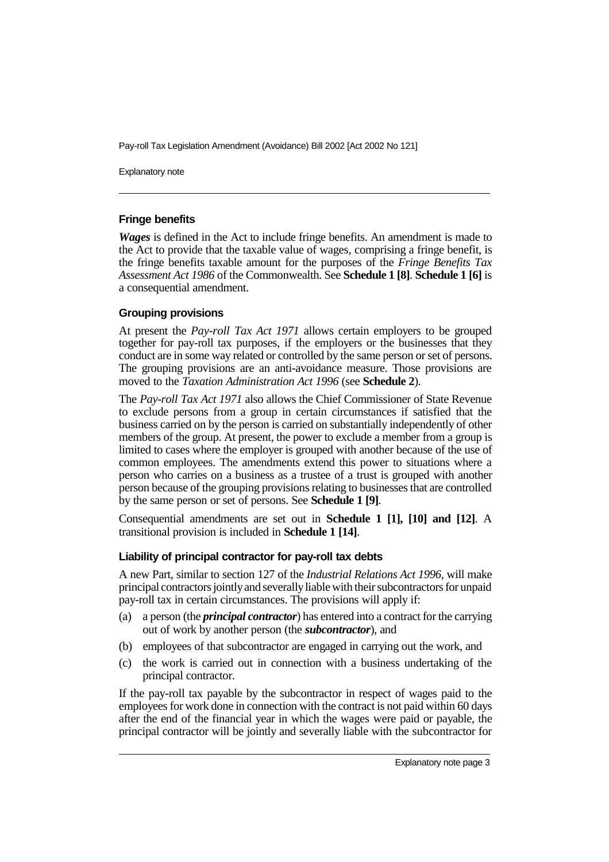Explanatory note

#### **Fringe benefits**

*Wages* is defined in the Act to include fringe benefits. An amendment is made to the Act to provide that the taxable value of wages, comprising a fringe benefit, is the fringe benefits taxable amount for the purposes of the *Fringe Benefits Tax Assessment Act 1986* of the Commonwealth. See **Schedule 1 [8]**. **Schedule 1 [6]** is a consequential amendment.

#### **Grouping provisions**

At present the *Pay-roll Tax Act 1971* allows certain employers to be grouped together for pay-roll tax purposes, if the employers or the businesses that they conduct are in some way related or controlled by the same person or set of persons. The grouping provisions are an anti-avoidance measure. Those provisions are moved to the *Taxation Administration Act 1996* (see **Schedule 2**).

The *Pay-roll Tax Act 1971* also allows the Chief Commissioner of State Revenue to exclude persons from a group in certain circumstances if satisfied that the business carried on by the person is carried on substantially independently of other members of the group. At present, the power to exclude a member from a group is limited to cases where the employer is grouped with another because of the use of common employees. The amendments extend this power to situations where a person who carries on a business as a trustee of a trust is grouped with another person because of the grouping provisions relating to businesses that are controlled by the same person or set of persons. See **Schedule 1 [9]**.

Consequential amendments are set out in **Schedule 1 [1], [10] and [12]**. A transitional provision is included in **Schedule 1 [14]**.

#### **Liability of principal contractor for pay-roll tax debts**

A new Part, similar to section 127 of the *Industrial Relations Act 1996*, will make principal contractors jointlyand severallyliable with their subcontractors for unpaid pay-roll tax in certain circumstances. The provisions will apply if:

- (a) a person (the *principal contractor*) has entered into a contract for the carrying out of work by another person (the *subcontractor*), and
- (b) employees of that subcontractor are engaged in carrying out the work, and
- (c) the work is carried out in connection with a business undertaking of the principal contractor.

If the pay-roll tax payable by the subcontractor in respect of wages paid to the employees for work done in connection with the contract is not paid within 60 days after the end of the financial year in which the wages were paid or payable, the principal contractor will be jointly and severally liable with the subcontractor for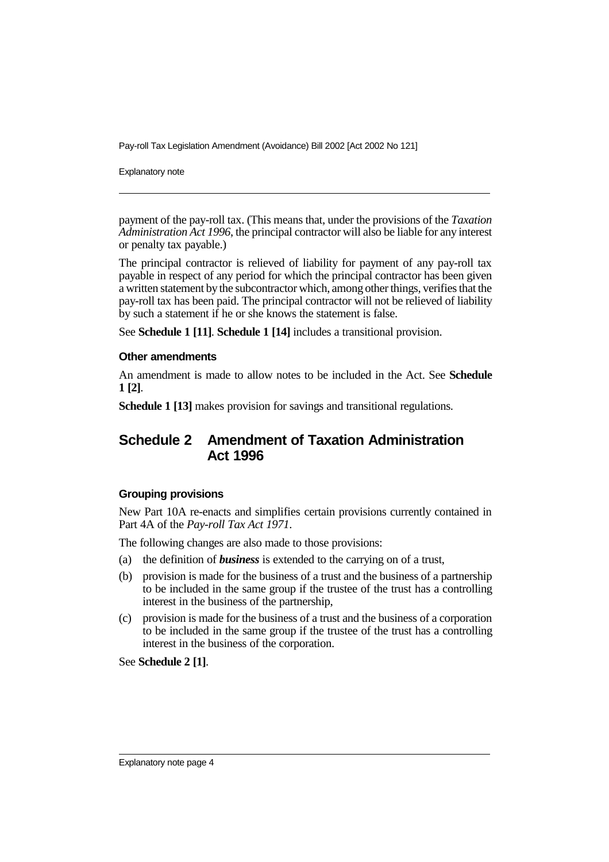Explanatory note

payment of the pay-roll tax. (This means that, under the provisions of the *Taxation Administration Act 1996*, the principal contractor will also be liable for any interest or penalty tax payable.)

The principal contractor is relieved of liability for payment of any pay-roll tax payable in respect of any period for which the principal contractor has been given a written statement by the subcontractor which, among other things, verifies that the pay-roll tax has been paid. The principal contractor will not be relieved of liability by such a statement if he or she knows the statement is false.

See **Schedule 1 [11]**. **Schedule 1 [14]** includes a transitional provision.

#### **Other amendments**

An amendment is made to allow notes to be included in the Act. See **Schedule 1 [2]**.

**Schedule 1 [13]** makes provision for savings and transitional regulations.

## **Schedule 2 Amendment of Taxation Administration Act 1996**

#### **Grouping provisions**

New Part 10A re-enacts and simplifies certain provisions currently contained in Part 4A of the *Pay-roll Tax Act 1971*.

The following changes are also made to those provisions:

- (a) the definition of *business* is extended to the carrying on of a trust,
- (b) provision is made for the business of a trust and the business of a partnership to be included in the same group if the trustee of the trust has a controlling interest in the business of the partnership,
- (c) provision is made for the business of a trust and the business of a corporation to be included in the same group if the trustee of the trust has a controlling interest in the business of the corporation.

See **Schedule 2 [1]**.